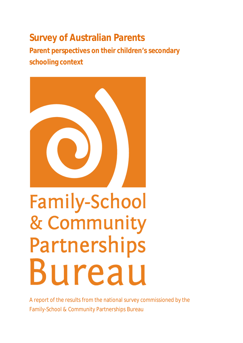## **Survey of Australian Parents**

**Parent perspectives on their children's secondary schooling context**



# Family-School & Community Partnerships Bureau

A report of the results from the national survey commissioned by the Family-School & Community Partnerships Bureau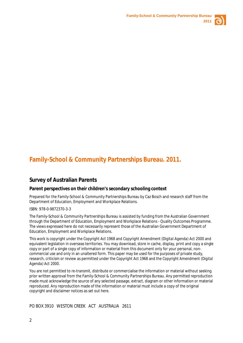

## **Family-School & Community Partnerships Bureau. 2011.**

#### **Survey of Australian Parents**

#### **Parent perspectives on their children's secondary schooling context**

Prepared for the Family-School & Community Partnerships Bureau by Caz Bosch and research staff from the Department of Education, Employment and Workplace Relations.

#### ISBN: 978-0-9872370-3-3

The Family-School & Community Partnerships Bureau is assisted by funding from the Australian Government through the Department of Education, Employment and Workplace Relations - Quality Outcomes Programme. The views expressed here do not necessarily represent those of the Australian Government Department of Education, Employment and Workplace Relations.

This work is copyright under the *Copyright Act 1968* and *Copyright Amendment (Digital Agenda) Act 2000* and equivalent legislation in overseas territories. You may download, store in cache, display, print and copy a single copy or part of a single copy of information or material from this document only for your personal, noncommercial use and only in an unaltered form. This paper may be used for the purposes of private study, research, criticism or review as permitted under the *Copyright Act 1968* and the *Copyright Amendment (Digital Agenda) Act 2000.*

You are not permitted to re-transmit, distribute or commercialise the information or material without seeking prior written approval from the Family-School & Community Partnerships Bureau. Any permitted reproduction made must acknowledge the source of any selected passage, extract, diagram or other information or material reproduced. Any reproduction made of the information or material must include a copy of the original copyright and disclaimer notices as set out here.

PO BOX 3910 WESTON CREEK ACT AUSTRALIA 2611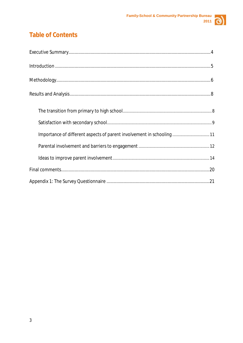

## **Table of Contents**

| Importance of different aspects of parent involvement in schooling 11 |
|-----------------------------------------------------------------------|
|                                                                       |
|                                                                       |
|                                                                       |
|                                                                       |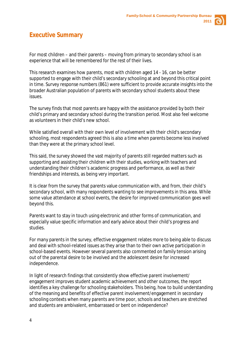

## <span id="page-3-0"></span>**Executive Summary**

For most children – and their parents – moving from primary to secondary school is an experience that will be remembered for the rest of their lives.

This research examines how parents, most with children aged 14 - 16, can be better supported to engage with their child's secondary schooling at and beyond this critical point in time. Survey response numbers (861) were sufficient to provide accurate insights into the broader Australian population of parents with secondary school students about these issues.

The survey finds that most parents are happy with the assistance provided by both their child's primary and secondary school during the transition period. Most also feel welcome as volunteers in their child's new school.

While satisfied overall with their own level of involvement with their child's secondary schooling, most respondents agreed this is also a time when parents become less involved than they were at the primary school level.

This said, the survey showed the vast majority of parents still regarded matters such as supporting and assisting their children with their studies, working with teachers and understanding their children's academic progress and performance, as well as their friendships and interests, as being very important.

It is clear from the survey that parents value communication with, and from, their child's secondary school, with many respondents wanting to see improvements in this area. While some value attendance at school events, the desire for improved communication goes well beyond this.

Parents want to stay in touch using electronic and other forms of communication, and especially value specific information and early advice about their child's progress and studies.

For many parents in the survey, effective engagement relates more to being able to discuss and deal with school-related issues as they arise than to their own active participation in school-based events. However several parents also commented on family tension arising out of the parental desire to be involved and the adolescent desire for increased independence.

In light of research findings that consistently show effective parent involvement/ engagement improves student academic achievement and other outcomes, the report identifies a key challenge for schooling stakeholders. This being, how to build understanding of the meaning and benefits of effective parent involvement/engagement in secondary schooling contexts when many parents are time poor, schools and teachers are stretched and students are ambivalent, embarrassed or bent on independence?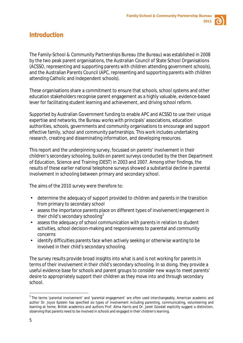

### <span id="page-4-0"></span>**Introduction**

The Family-School & Community Partnerships Bureau (the Bureau) was established in 2008 by the two peak parent organisations, the Australian Council of State School Organisations (ACSSO, representing and supporting parents with children attending government schools), and the Australian Parents Council (APC, representing and supporting parents with children attending Catholic and Independent schools).

These organisations share a commitment to ensure that schools, school systems and other education stakeholders recognise parent engagement as a highly valuable, evidence-based lever for facilitating student learning and achievement, and driving school reform.

Supported by Australian Government funding to enable APC and ACSSO to use their unique expertise and networks, the Bureau works with principals' associations, education authorities, schools, governments and community organisations to encourage and support effective family, school and community partnerships. This work includes undertaking research, creating and disseminating information, and developing resources.

This report and the underpinning survey, focussed on parents' involvement in their children's secondary schooling, builds on parent surveys conducted by the then Department of Education, Science and Training (DEST) in 2003 and 2007. Among other findings, the results of these earlier national telephone surveys showed a substantial decline in parental involvement in schooling between primary and secondary school.

The aims of the 2010 survey were therefore to:

- determine the adequacy of support provided to children and parents in the transition from primary to secondary school
- assess the importance parents place on different types of involvement/engagement in their child's secondary schooling<sup>[1](#page-4-1)</sup>
- assess the adequacy of school communication with parents in relation to student  $\mathbf{r}$ activities, school decision-making and responsiveness to parental and community concerns
- identify difficulties parents face when actively seeking or otherwise wanting to be ä, involved in their child's secondary schooling.

The survey results provide broad insights into what is and is not working for parents in terms of their involvement in their child's secondary schooling. In so doing, they provide a useful evidence base for schools and parent groups to consider new ways to meet parents' desire to appropriately support their children as they move into and through secondary school.

<span id="page-4-1"></span> $1$  The terms 'parental involvement' and 'parental engagement' are often used interchangeably. American academic and author Dr. Joyce Epstein has specified six types of involvement including parenting, communicating, volunteering and learning at home. British academics and authors Prof. Alma Harris and Dr. Janet Goodall explicitly suggest a distinction, observing that parents need to be involved in schools and engaged in their children's learning.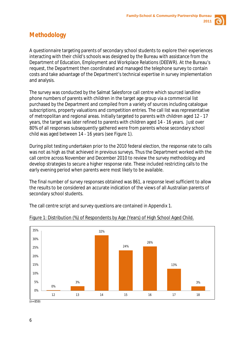

## <span id="page-5-0"></span>**Methodology**

A questionnaire targeting parents of secondary school students to explore their experiences interacting with their child's schools was designed by the Bureau with assistance from the Department of Education, Employment and Workplace Relations (DEEWR). At the Bureau's request, the Department then coordinated and managed the telephone survey to contain costs and take advantage of the Department's technical expertise in survey implementation and analysis.

The survey was conducted by the Salmat Salesforce call centre which sourced landline phone numbers of parents with children in the target age group via a commercial list purchased by the Department and compiled from a variety of sources including catalogue subscriptions, property valuations and competition entries. The call list was representative of metropolitan and regional areas. Initially targeted to parents with children aged 12 - 17 years, the target was later refined to parents with children aged 14 - 16 years. Just over 80% of all responses subsequently gathered were from parents whose secondary school child was aged between 14 - 16 years (see Figure 1).

During pilot testing undertaken prior to the 2010 federal election, the response rate to calls was not as high as that achieved in previous surveys. Thus the Department worked with the call centre across November and December 2010 to review the survey methodology and develop strategies to secure a higher response rate. These included restricting calls to the early evening period when parents were most likely to be available.

The final number of survey responses obtained was 861, a response level sufficient to allow the results to be considered an accurate indication of the views of all Australian parents of secondary school students.

The call centre script and survey questions are contained in Appendix 1.



#### Figure 1: Distribution (%) of Respondents by Age (Years) of High School Aged Child.

(n= 859)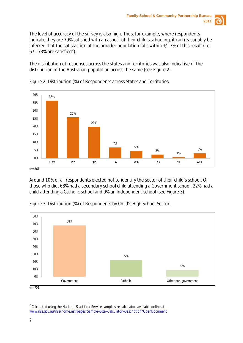

The level of accuracy of the survey is also high. Thus, for example, where respondents indicate they are 70% satisfied with an aspect of their child's schooling, it can reasonably be inferred that the satisfaction of the broader population falls within +/- 3% of this result (i.e.  $67 - 73\%$  are satisfied<sup>[2](#page-6-0)</sup>).

The distribution of responses across the states and territories was also indicative of the distribution of the Australian population across the same (see Figure 2).



#### Figure 2: Distribution (%) of Respondents across States and Territories.

Around 10% of all respondents elected not to identify the sector of their child's school. Of those who did, 68% had a secondary school child attending a Government school, 22% had a child attending a Catholic school and 9% an Independent school (see Figure 3).



#### Figure 3: Distribution (%) of Respondents by Child's High School Sector.

<span id="page-6-0"></span> $2$  Calculated using the National Statistical Service sample size calculator, available online at [www.nss.gov.au/nss/home.nsf/pages/Sample+Size+Calculator+Description?OpenDocument](http://www.nss.gov.au/nss/home.nsf/pages/Sample+Size+Calculator+Description?OpenDocument)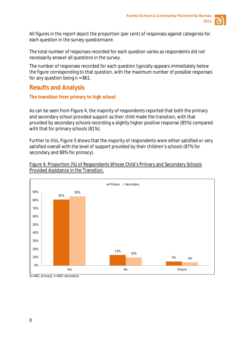

All figures in the report depict the proportion (per cent) of responses against categories for each question in the survey questionnaire.

The total number of responses recorded for each question varies as respondents did not necessarily answer all questions in the survey.

The number of responses recorded for each question typically appears immediately below the figure corresponding to that question, with the maximum number of possible responses for any question being  $n = 861$ .

## <span id="page-7-0"></span>**Results and Analysis**

#### <span id="page-7-1"></span>**The transition from primary to high school**

As can be seen from Figure 4, the majority of respondents reported that both the primary and secondary school provided support as their child made the transition, with that provided by secondary schools recording a slightly higher positive response (85%) compared with that for primary schools (81%).

Further to this, Figure 5 shows that the majority of respondents were either satisfied or very satisfied overall with the level of support provided by their children's schools (87% for secondary and 88% for primary).



Figure 4: Proportion (%) of Respondents Whose Child's Primary and Secondary Schools Provided Assistance in the Transition.

(n= 861: primary| n= 850: secondary)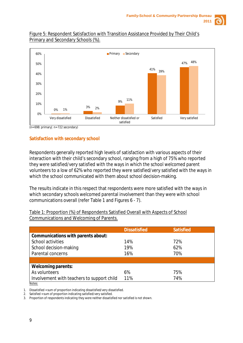

#### Figure 5: Respondent Satisfaction with Transition Assistance Provided by Their Child's Primary and Secondary Schools (%).



 $(n= 698: \text{primary} \mid n= 722 \text{ secondary})$ 

#### <span id="page-8-0"></span>**Satisfaction with secondary school**

Respondents generally reported high levels of satisfaction with various aspects of their interaction with their child's secondary school, ranging from a high of 75% who reported they were satisfied/very satisfied with the ways in which the school welcomed parent volunteers to a low of 62% who reported they were satisfied/very satisfied with the ways in which the school communicated with them about school decision-making.

The results indicate in this respect that respondents were more satisfied with the ways in which secondary schools welcomed parental involvement than they were with school communications overall (refer Table 1 and Figures 6 - 7).

|                                    | <b>Dissatisfied</b> | <b>Satisfied</b> |  |
|------------------------------------|---------------------|------------------|--|
| Communications with parents about: |                     |                  |  |
| School activities                  | 14%                 | 72%              |  |
| School decision-making             | 19%                 | 62%              |  |
| Parental concerns                  | 16%                 | 70%              |  |
|                                    |                     |                  |  |
| <b>Welcoming parents:</b>          |                     |                  |  |
| As volunteers                      | 6%                  | 75%              |  |

Table 1: Proportion (%) of Respondents Satisfied Overall with Aspects of School Communications and Welcoming of Parents.

Involvement with teachers to support child 11% 74%

*1. Dissatisfied = sum of proportion indicating dissatisfied/very dissatisfied.*

*2. Satisfied = sum of proportion indicating satisfied/very satisfied.*

*3. Proportion of respondents indicating they were neither dissatisfied nor satisfied is not shown.*

*Notes:*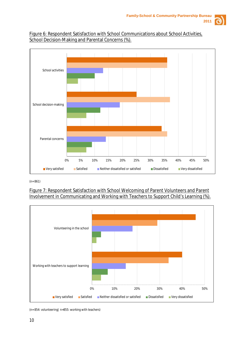

#### Figure 6: Respondent Satisfaction with School Communications about School Activities, School Decision-Making and Parental Concerns (%).



(n= 861)

#### Figure 7: Respondent Satisfaction with School Welcoming of Parent Volunteers and Parent Involvement in Communicating and Working with Teachers to Support Child's Learning (%).



(n= 854: volunteering| n=855: working with teachers)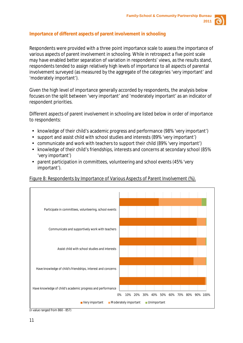

#### <span id="page-10-0"></span>**Importance of different aspects of parent involvement in schooling**

Respondents were provided with a three point importance scale to assess the importance of various aspects of parent involvement in schooling. While in retrospect a five point scale may have enabled better separation of variation in respondents' views, as the results stand, respondents tended to assign relatively high levels of importance to all aspects of parental involvement surveyed (as measured by the aggregate of the categories 'very important' and 'moderately important').

Given the high level of importance generally accorded by respondents, the analysis below focuses on the split between 'very important' and 'moderately important' as an indicator of respondent priorities.

Different aspects of parent involvement in schooling are listed below in order of importance to respondents:

- knowledge of their child's academic progress and performance (98% 'very important')
- support and assist child with school studies and interests (89% 'very important')
- communicate and work with teachers to support their child (89% 'very important')
- knowledge of their child's friendships, interests and concerns at secondary school (85% 'very important')
- parent participation in committees, volunteering and school events (45% 'very important').

Figure 8: Respondents by Importance of Various Aspects of Parent Involvement (%).



(n value ranged from 860 - 857)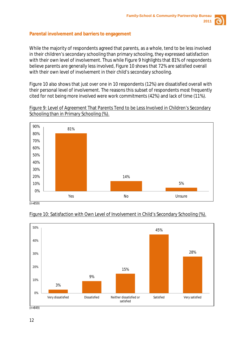

#### <span id="page-11-0"></span>**Parental involvement and barriers to engagement**

While the majority of respondents agreed that parents, as a whole, tend to be less involved in their children's secondary schooling than primary schooling, they expressed satisfaction with their own level of involvement. Thus while Figure 9 highlights that 81% of respondents believe parents are generally less involved, Figure 10 shows that 72% are satisfied overall with their own level of involvement in their child's secondary schooling.

Figure 10 also shows that just over one in 10 respondents (12%) are dissatisfied overall with their personal level of involvement. The reasons this subset of respondents most frequently cited for not being more involved were work commitments (42%) and lack of time (11%).



Figure 9: Level of Agreement That Parents Tend to be Less Involved in Children's Secondary Schooling than in Primary Schooling (%).

(n=859)



#### Figure 10: Satisfaction with Own Level of Involvement in Child's Secondary Schooling (%).

 $(n=849)$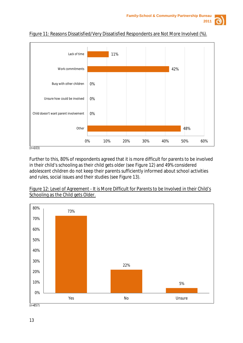





#### Figure 11: Reasons Dissatisfied/Very Dissatisfied Respondents are Not More Involved (%).

 $(n=103)$ 

Further to this, 80% of respondents agreed that it is more difficult for parents to be involved in their child's schooling as their child gets older (see Figure 12) and 49% considered adolescent children do not keep their parents sufficiently informed about school activities and rules, social issues and their studies (see Figure 13).



| Figure 12: Level of Agreement - It is More Difficult for Parents to be Involved in their Child's |  |  |
|--------------------------------------------------------------------------------------------------|--|--|
| Schooling as the Child gets Older.                                                               |  |  |

 $(n=857)$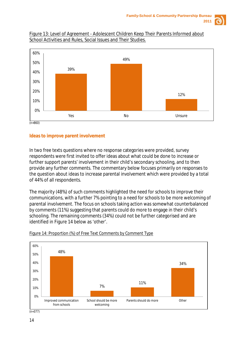

#### Figure 13: Level of Agreement - Adolescent Children Keep Their Parents Informed about School Activities and Rules, Social Issues and Their Studies.



#### <span id="page-13-0"></span>**Ideas to improve parent involvement**

In two free texts questions where no response categories were provided, survey respondents were first invited to offer ideas about what could be done to increase or further support parents' involvement in their child's secondary schooling, and to then provide any further comments. The commentary below focuses primarily on responses to the question about ideas to increase parental involvement which were provided by a total of 44% of all respondents.

The majority (48%) of such comments highlighted the need for schools to improve their communications, with a further 7% pointing to a need for schools to be more welcoming of parental involvement. The focus on schools taking action was somewhat counterbalanced by comments (11%) suggesting that parents could do more to engage in their child's schooling. The remaining comments (34%) could not be further categorised and are identified in Figure 14 below as 'other'.



#### Figure 14: Proportion (%) of Free Text Comments by Comment Type

 $(n=377)$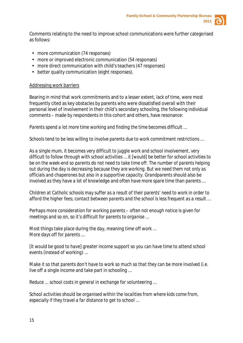

Comments relating to the need to improve school communications were further categorised as follows:

- more communication (74 responses)
- more or improved electronic communication (54 responses)
- more direct communication with child's teachers (47 responses)
- better quality communication (eight responses).

#### Addressing work barriers

Bearing in mind that work commitments and to a lesser extent, lack of time, were most frequently cited as key obstacles by parents who were dissatisfied overall with their personal level of involvement in their child's secondary schooling, the following individual comments – made by respondents in this cohort and others, have resonance:

*Parents spend a lot more time working and finding the time becomes difficult …*

*Schools tend to be less willing to involve parents due to work commitment restrictions …*

*As a single mum, it becomes very difficult to juggle work and school involvement, very difficult to follow through with school activities … it [would] be better for school activities to be on the week-end so parents do not need to take time off. The number of parents helping out during the day is decreasing because they are working. But we need them not only as officials and chaperones but also in a supportive capacity. Grandparents should also be involved as they have a lot of knowledge and often have more spare time than parents …*

*Children at Catholic schools may suffer as a result of their parents' need to work in order to afford the higher fees; contact between parents and the school is less frequent as a result …*

*Perhaps more consideration for working parents – often not enough notice is given for meetings and so on, so it's difficult for parents to organise …*

*Most things take place during the day, meaning time off work … More days off for parents …*

*[It would be good to have] greater income support so you can have time to attend school events (instead of working) …*

*Make it so that parents don't have to work so much so that they can be more involved (i.e. live off a single income and take part in schooling …*

*Reduce ... school costs in general in exchange for volunteering ...*

*School activities should be organised within the localities from where kids come from, especially if they travel a far distance to get to school …*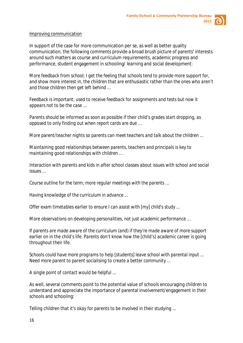

#### Improving communication

In support of the case for more communication per se, as well as better quality communication, the following comments provide a broad brush picture of parents' interests around such matters as course and curriculum requirements, academic progress and performance, student engagement in schooling/ learning and social development:

*More feedback from school; I get the feeling that schools tend to provide more support for, and show more interest in, the children that are enthusiastic rather than the ones who aren't and those children then get left behind …*

*Feedback is important; used to receive feedback for assignments and tests but now it appears not to be the case …*

*Parents should be informed as soon as possible if their child's grades start dropping, as opposed to only finding out when report cards are due …*

*More parent/teacher nights so parents can meet teachers and talk about the children ...*

*Maintaining good relationships between parents, teachers and principals is key to maintaining good relationships with children …*

*Interaction with parents and kids in after school classes about issues with school and social issues …*

*Course outline for the term; more regular meetings with the parents …*

*Having knowledge of the curriculum in advance ...*

*Offer exam timetables earlier to ensure I can assist with [my] child's study ...*

*More observations on developing personalities, not just academic performance …*

*If parents are made aware of the curriculum (and) if they're made aware of more support earlier on in the child's life. Parents don't know how the [child's] academic career is going throughout their life.*

*Schools could have more programs to help [students] leave school with parental input … Need more parent to parent socialising to create a better community ...*

*A single point of contact would be helpful ...*

As well, several comments point to the potential value of schools encouraging children to understand and appreciate the importance of parental involvement/engagement in their schools and schooling:

*Telling children that it's okay for parents to be involved in their studying ...*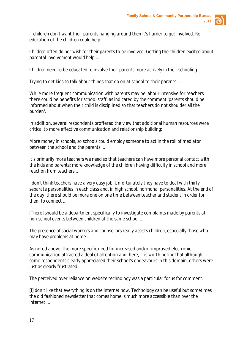

*If children don't want their parents hanging around then it's harder to get involved. Reeducation of the children could help ...*

*Children often do not wish for their parents to be involved. Getting the children excited about parental involvement would help ...*

*Children need to be educated to involve their parents more actively in their schooling ...*

*Trying to get kids to talk about things that go on at school to their parents ...*

While more frequent communication with parents may be labour intensive for teachers there could be benefits for school staff, as indicated by the comment 'parents should be informed about when their child is disciplined so that teachers do not shoulder all the burden'.

In addition, several respondents proffered the view that additional human resources were critical to more effective communication and relationship building:

*More money in schools, so schools could employ someone to act in the roll of mediator between the school and the parents ...*

*It's primarily more teachers we need so that teachers can have more personal contact with the kids and parents; more knowledge of the children having difficulty in school and more reaction from teachers …*

*I don't think teachers have a very easy job. Unfortunately they have to deal with thirty separate personalities in each class and, in high school, hormonal personalities. At the end of the day, there should be more one on one time between teacher and student in order for them to connect ...*

*[There] should be a department specifically to investigate complaints made by parents at non-school events between children at the same school ...*

*The presence of social workers and counsellors really assists children, especially those who may have problems at home ...*

As noted above, the more specific need for increased and/or improved electronic communication attracted a deal of attention and, here, it is worth noting that although some respondents clearly appreciated their school's endeavours in this domain, others were just as clearly frustrated.

The perceived over reliance on website technology was a particular focus for comment:

*[I] don't like that everything is on the internet now. Technology can be useful but sometimes the old fashioned newsletter that comes home is much more accessible than over the internet …*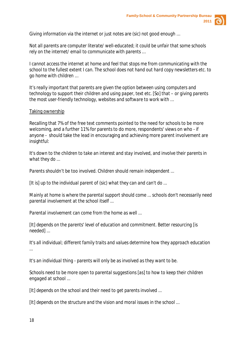

*Giving information via the internet or just notes are (sic) not good enough …*

*Not all parents are computer literate/ well-educated; it could be unfair that some schools rely on the internet/ email to communicate with parents …*

*I cannot access the internet at home and feel that stops me from communicating with the school to the fullest extent I can. The school does not hand out hard copy newsletters etc. to go home with children …*

*It's really important that parents are given the option between using computers and technology to support their children and using paper, text etc. [So] that – or giving parents the most user-friendly technology, websites and software to work with …*

#### Taking ownership

Recalling that 7% of the free text comments pointed to the need for schools to be more welcoming, and a further 11% for parents to do more, respondents' views on who - if anyone - should take the lead in encouraging and achieving more parent involvement are insightful:

*It's down to the children to take an interest and stay involved, and involve their parents in what they do ...*

*Parents shouldn't be too involved. Children should remain independent ...*

*[It is] up to the individual parent of (sic) what they can and can't do ...*

*Mainly at home is where the parental support should come ... schools don't necessarily need parental involvement at the school itself ...*

*Parental involvement can come from the home as well ...*

*[It] depends on the parents' level of education and commitment. Better resourcing [is needed] ...*

*It's all individual; different family traits and values determine how they approach education ...*

*It's an individual thing - parents will only be as involved as they want to be.*

*Schools need to be more open to parental suggestions [as] to how to keep their children engaged at school ...*

*[It] depends on the school and their need to get parents involved ...*

*[It] depends on the structure and the vision and moral issues in the school ...*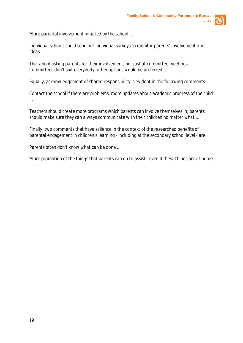

*More parental involvement initiated by the school ...*

*Individual schools could send out individual surveys to monitor parents' involvement and ideas …*

*The school asking parents for their involvement, not just at committee meetings. Committees don't suit everybody; other options would be preferred ...*

Equally, acknowledgement of shared responsibility is evident in the following comments:

*Contact the school if there are problems; more updates about academic progress of the child ...*

*Teachers should create more programs which parents can involve themselves in; parents should make sure they can always communicate with their children no matter what ...*

Finally, two comments that have salience in the context of the researched benefits of parental engagement in children's learning - including at the secondary school level - are:

*Parents often don't know what can be done ...*

*More promotion of the things that parents can do to assist - even if these things are at home ...*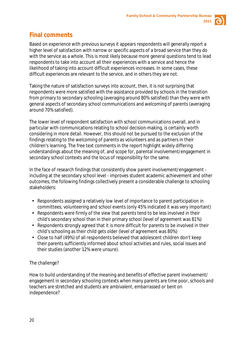

## <span id="page-19-0"></span>**Final comments**

Based on experience with previous surveys it appears respondents will generally report a higher level of satisfaction with narrow or specific aspects of a broad service than they do with the service as a whole. This is most likely because more general questions tend to lead respondents to take into account all their experiences with a service and hence the likelihood of taking into account difficult experiences increases. In some cases, these difficult experiences are relevant to the service, and in others they are not.

Taking the nature of satisfaction surveys into account, then, it is not surprising that respondents were more satisfied with the assistance provided by schools in the transition from primary to secondary schooling (averaging around 80% satisfied) than they were with general aspects of secondary school communications and welcoming of parents (averaging around 70% satisfied).

The lower level of respondent satisfaction with school communications overall, and in particular with communications relating to school decision-making, is certainly worth considering in more detail. However, this should not be pursued to the exclusion of the findings relating to the welcoming of parents as volunteers and as partners in their children's learning. The free text comments in the report highlight widely differing understandings about the meaning of, and scope for, parental involvement/engagement in secondary school contexts and the locus of responsibility for the same.

In the face of research findings that consistently show parent involvement/engagement including at the secondary school level - improves student academic achievement and other outcomes, the following findings collectively present a considerable challenge to schooling stakeholders:

- Respondents assigned a relatively low level of importance to parent participation in committees, volunteering and school events (only 45% indicated it was very important)
- Respondents were firmly of the view that parents tend to be less involved in their child's secondary school than in their primary school (level of agreement was 81%)
- Respondents strongly agreed that it is more difficult for parents to be involved in their child's schooling as their child gets older (level of agreement was 80%)
- Close to half (49%) of all respondents believed that adolescent children don't keep their parents sufficiently informed about school activities and rules, social issues and their studies (another 12% were unsure).

#### The challenge?

How to build understanding of the meaning and benefits of effective parent involvement/ engagement in secondary schooling contexts when many parents are time poor, schools and teachers are stretched and students are ambivalent, embarrassed or bent on independence?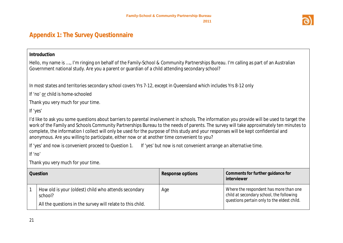

## **Appendix 1: The Survey Questionnaire**

#### **Introduction**

Hello, my name is …., I'm ringing on behalf of the Family-School & Community Partnerships Bureau. I'm calling as part of an Australian Government national study. Are you a parent or guardian of a child attending secondary school?

*In most states and territories secondary school covers Yrs 7-12, except in Queensland which includes Yrs 8-12 only*

*If 'no' or child is home-schooled*

Thank you very much for your time.

*If 'yes'*

I'd like to ask you some questions about barriers to parental involvement in schools. The information you provide will be used to target the work of the Family and Schools Community Partnerships Bureau to the needs of parents. The survey will take approximately ten minutes to complete, the information I collect will only be used for the purpose of this study and your responses will be kept confidential and anonymous. Are you willing to participate, either now or at another time convenient to you?

<span id="page-20-0"></span>*If 'yes' and now is convenient proceed to Question 1. If 'yes' but now is not convenient arrange an alternative time.*

*If 'no'*

Thank you very much for your time.

| <b>Question</b>                                                                                                               | Response options | Comments for further guidance for<br>interviewer                                                                                  |
|-------------------------------------------------------------------------------------------------------------------------------|------------------|-----------------------------------------------------------------------------------------------------------------------------------|
| How old is your (oldest) child who attends secondary<br>school?<br>All the questions in the survey will relate to this child. | Age              | Where the respondent has more than one<br>child at secondary school, the following<br>questions pertain only to the eldest child. |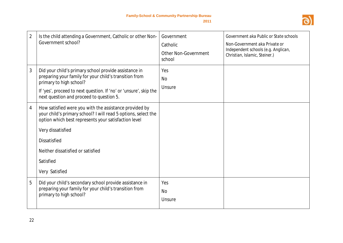

| $\overline{2}$ | Is the child attending a Government, Catholic or other Non-<br>Government school?                                                                                                                                                                                                                | Government<br>Catholic<br><b>Other Non-Government</b><br>school | Government aka Public or State schools<br>Non-Government aka Private or<br>Independent schools (e.g. Anglican,<br>Christian, Islamic, Steiner.) |
|----------------|--------------------------------------------------------------------------------------------------------------------------------------------------------------------------------------------------------------------------------------------------------------------------------------------------|-----------------------------------------------------------------|-------------------------------------------------------------------------------------------------------------------------------------------------|
| 3              | Did your child's primary school provide assistance in<br>preparing your family for your child's transition from<br>primary to high school?<br>If 'yes', proceed to next question. If 'no' or 'unsure', skip the<br>next question and proceed to question 5.                                      | Yes<br><b>No</b><br>Unsure                                      |                                                                                                                                                 |
| 4              | How satisfied were you with the assistance provided by<br>your child's primary school? I will read 5 options, select the<br>option which best represents your satisfaction level<br>Very dissatisfied<br><b>Dissatisfied</b><br>Neither dissatisfied or satisfied<br>Satisfied<br>Very Satisfied |                                                                 |                                                                                                                                                 |
| 5              | Did your child's secondary school provide assistance in<br>preparing your family for your child's transition from<br>primary to high school?                                                                                                                                                     | Yes<br><b>No</b><br>Unsure                                      |                                                                                                                                                 |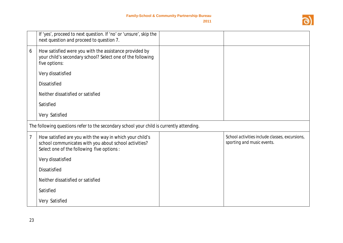

|   | If 'yes', proceed to next question. If 'no' or 'unsure', skip the<br>next question and proceed to question 7.                                                  |                                                                              |
|---|----------------------------------------------------------------------------------------------------------------------------------------------------------------|------------------------------------------------------------------------------|
| 6 | How satisfied were you with the assistance provided by<br>your child's secondary school? Select one of the following<br>five options:                          |                                                                              |
|   | Very dissatisfied                                                                                                                                              |                                                                              |
|   | <b>Dissatisfied</b>                                                                                                                                            |                                                                              |
|   | Neither dissatisfied or satisfied                                                                                                                              |                                                                              |
|   | Satisfied                                                                                                                                                      |                                                                              |
|   | Very Satisfied                                                                                                                                                 |                                                                              |
|   | The following questions refer to the secondary school your child is currently attending.                                                                       |                                                                              |
| 7 | How satisfied are you with the way in which your child's<br>school communicates with you about school activities?<br>Select one of the following five options: | School activities include classes, excursions,<br>sporting and music events. |
|   | Very dissatisfied                                                                                                                                              |                                                                              |
|   | <b>Dissatisfied</b>                                                                                                                                            |                                                                              |
|   | Neither dissatisfied or satisfied                                                                                                                              |                                                                              |
|   | Satisfied                                                                                                                                                      |                                                                              |
|   | Very Satisfied                                                                                                                                                 |                                                                              |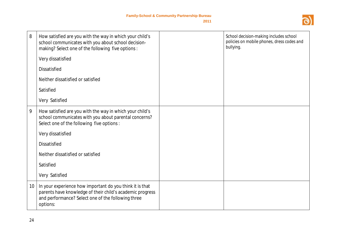

| 8  | How satisfied are you with the way in which your child's<br>school communicates with you about school decision-<br>making? Select one of the following five options:                    | School decision-making includes school<br>policies on mobile phones, dress codes and<br>bullying. |
|----|-----------------------------------------------------------------------------------------------------------------------------------------------------------------------------------------|---------------------------------------------------------------------------------------------------|
|    | Very dissatisfied                                                                                                                                                                       |                                                                                                   |
|    | <b>Dissatisfied</b>                                                                                                                                                                     |                                                                                                   |
|    | Neither dissatisfied or satisfied                                                                                                                                                       |                                                                                                   |
|    | Satisfied                                                                                                                                                                               |                                                                                                   |
|    | Very Satisfied                                                                                                                                                                          |                                                                                                   |
| 9  | How satisfied are you with the way in which your child's<br>school communicates with you about parental concerns?<br>Select one of the following five options:                          |                                                                                                   |
|    | Very dissatisfied                                                                                                                                                                       |                                                                                                   |
|    | <b>Dissatisfied</b>                                                                                                                                                                     |                                                                                                   |
|    | Neither dissatisfied or satisfied                                                                                                                                                       |                                                                                                   |
|    | Satisfied                                                                                                                                                                               |                                                                                                   |
|    | Very Satisfied                                                                                                                                                                          |                                                                                                   |
| 10 | In your experience how important do you think it is that<br>parents have knowledge of their child's academic progress<br>and performance? Select one of the following three<br>options: |                                                                                                   |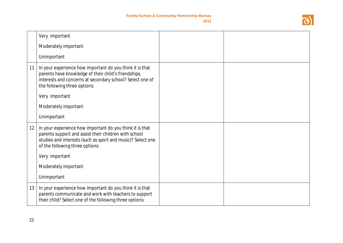

|    | Very important                                                                                                                                                                                                      |  |
|----|---------------------------------------------------------------------------------------------------------------------------------------------------------------------------------------------------------------------|--|
|    | Moderately important                                                                                                                                                                                                |  |
|    | Unimportant                                                                                                                                                                                                         |  |
| 11 | In your experience how important do you think it is that<br>parents have knowledge of their child's friendships,<br>interests and concerns at secondary school? Select one of<br>the following three options:       |  |
|    | Very important                                                                                                                                                                                                      |  |
|    | Moderately important                                                                                                                                                                                                |  |
|    | Unimportant                                                                                                                                                                                                         |  |
| 12 | In your experience how important do you think it is that<br>parents support and assist their children with school<br>studies and interests (such as sport and music)? Select one<br>of the following three options: |  |
|    | Very important                                                                                                                                                                                                      |  |
|    | Moderately important                                                                                                                                                                                                |  |
|    | Unimportant                                                                                                                                                                                                         |  |
| 13 | In your experience how important do you think it is that<br>parents communicate and work with teachers to support<br>their child? Select one of the following three options:                                        |  |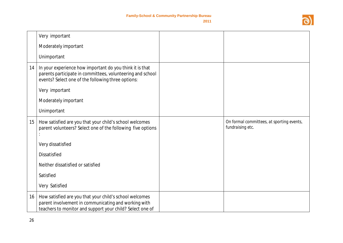

|    | Very important                                                                                                                                                               |                                                               |
|----|------------------------------------------------------------------------------------------------------------------------------------------------------------------------------|---------------------------------------------------------------|
|    | Moderately important                                                                                                                                                         |                                                               |
|    | Unimportant                                                                                                                                                                  |                                                               |
| 14 | In your experience how important do you think it is that<br>parents participate in committees, volunteering and school<br>events? Select one of the following three options: |                                                               |
|    | Very important                                                                                                                                                               |                                                               |
|    | Moderately important                                                                                                                                                         |                                                               |
|    | Unimportant                                                                                                                                                                  |                                                               |
| 15 | How satisfied are you that your child's school welcomes<br>parent volunteers? Select one of the following five options                                                       | On formal committees, at sporting events,<br>fundraising etc. |
|    | Very dissatisfied                                                                                                                                                            |                                                               |
|    | <b>Dissatisfied</b>                                                                                                                                                          |                                                               |
|    | Neither dissatisfied or satisfied                                                                                                                                            |                                                               |
|    | Satisfied                                                                                                                                                                    |                                                               |
|    | Very Satisfied                                                                                                                                                               |                                                               |
| 16 | How satisfied are you that your child's school welcomes<br>parent involvement in communicating and working with<br>teachers to monitor and support your child? Select one of |                                                               |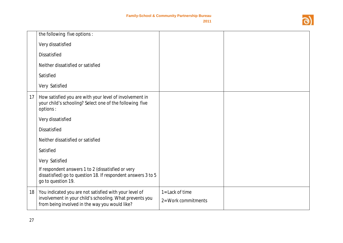

|    | the following five options :                                                                                                                                         |                                        |  |
|----|----------------------------------------------------------------------------------------------------------------------------------------------------------------------|----------------------------------------|--|
|    | Very dissatisfied                                                                                                                                                    |                                        |  |
|    | <b>Dissatisfied</b>                                                                                                                                                  |                                        |  |
|    | Neither dissatisfied or satisfied                                                                                                                                    |                                        |  |
|    | Satisfied                                                                                                                                                            |                                        |  |
|    | Very Satisfied                                                                                                                                                       |                                        |  |
| 17 | How satisfied you are with your level of involvement in<br>your child's schooling? Select one of the following five<br>options:                                      |                                        |  |
|    | Very dissatisfied                                                                                                                                                    |                                        |  |
|    | <b>Dissatisfied</b>                                                                                                                                                  |                                        |  |
|    | Neither dissatisfied or satisfied                                                                                                                                    |                                        |  |
|    | Satisfied                                                                                                                                                            |                                        |  |
|    | Very Satisfied                                                                                                                                                       |                                        |  |
|    | If respondent answers 1 to 2 (dissatisfied or very<br>dissatisfied) go to question 18. If respondent answers 3 to 5<br>go to question 19.                            |                                        |  |
| 18 | You indicated you are not satisfied with your level of<br>involvement in your child's schooling. What prevents you<br>from being involved in the way you would like? | 1= Lack of time<br>2= Work commitments |  |